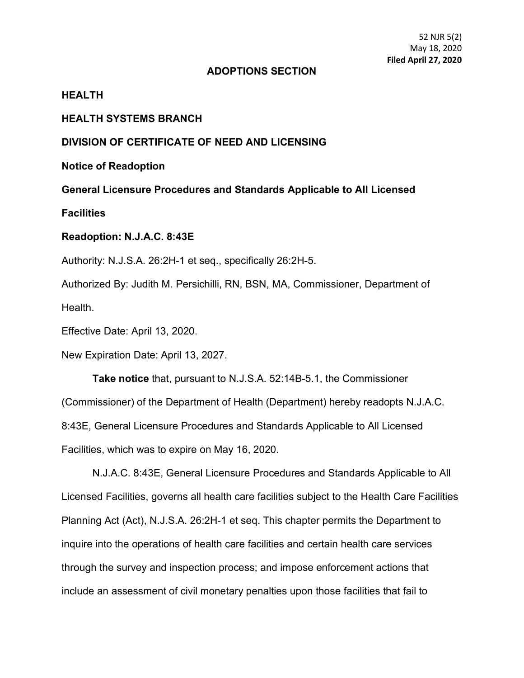52 NJR 5(2) May 18, 2020 **Filed April 27, 2020**

#### **ADOPTIONS SECTION**

# **HEALTH**

### **HEALTH SYSTEMS BRANCH**

# **DIVISION OF CERTIFICATE OF NEED AND LICENSING**

**Notice of Readoption**

**General Licensure Procedures and Standards Applicable to All Licensed** 

**Facilities**

### **Readoption: N.J.A.C. 8:43E**

Authority: N.J.S.A. 26:2H-1 et seq., specifically 26:2H-5.

Authorized By: Judith M. Persichilli, RN, BSN, MA, Commissioner, Department of Health.

Effective Date: April 13, 2020.

New Expiration Date: April 13, 2027.

**Take notice** that, pursuant to N.J.S.A. 52:14B-5.1, the Commissioner (Commissioner) of the Department of Health (Department) hereby readopts N.J.A.C. 8:43E, General Licensure Procedures and Standards Applicable to All Licensed Facilities, which was to expire on May 16, 2020.

N.J.A.C. 8:43E, General Licensure Procedures and Standards Applicable to All Licensed Facilities, governs all health care facilities subject to the Health Care Facilities Planning Act (Act), N.J.S.A. 26:2H-1 et seq. This chapter permits the Department to inquire into the operations of health care facilities and certain health care services through the survey and inspection process; and impose enforcement actions that include an assessment of civil monetary penalties upon those facilities that fail to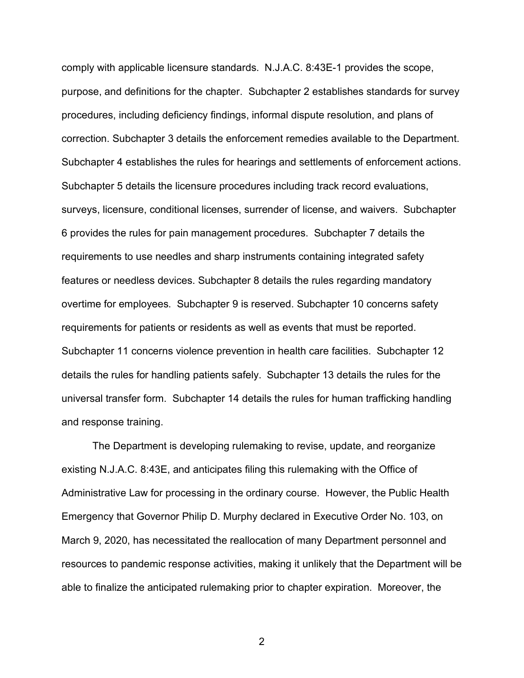comply with applicable licensure standards. N.J.A.C. 8:43E-1 provides the scope, purpose, and definitions for the chapter. Subchapter 2 establishes standards for survey procedures, including deficiency findings, informal dispute resolution, and plans of correction. Subchapter 3 details the enforcement remedies available to the Department. Subchapter 4 establishes the rules for hearings and settlements of enforcement actions. Subchapter 5 details the licensure procedures including track record evaluations, surveys, licensure, conditional licenses, surrender of license, and waivers. Subchapter 6 provides the rules for pain management procedures. Subchapter 7 details the requirements to use needles and sharp instruments containing integrated safety features or needless devices. Subchapter 8 details the rules regarding mandatory overtime for employees. Subchapter 9 is reserved. Subchapter 10 concerns safety requirements for patients or residents as well as events that must be reported. Subchapter 11 concerns violence prevention in health care facilities. Subchapter 12 details the rules for handling patients safely. Subchapter 13 details the rules for the universal transfer form. Subchapter 14 details the rules for human trafficking handling and response training.

The Department is developing rulemaking to revise, update, and reorganize existing N.J.A.C. 8:43E, and anticipates filing this rulemaking with the Office of Administrative Law for processing in the ordinary course. However, the Public Health Emergency that Governor Philip D. Murphy declared in Executive Order No. 103, on March 9, 2020, has necessitated the reallocation of many Department personnel and resources to pandemic response activities, making it unlikely that the Department will be able to finalize the anticipated rulemaking prior to chapter expiration. Moreover, the

2